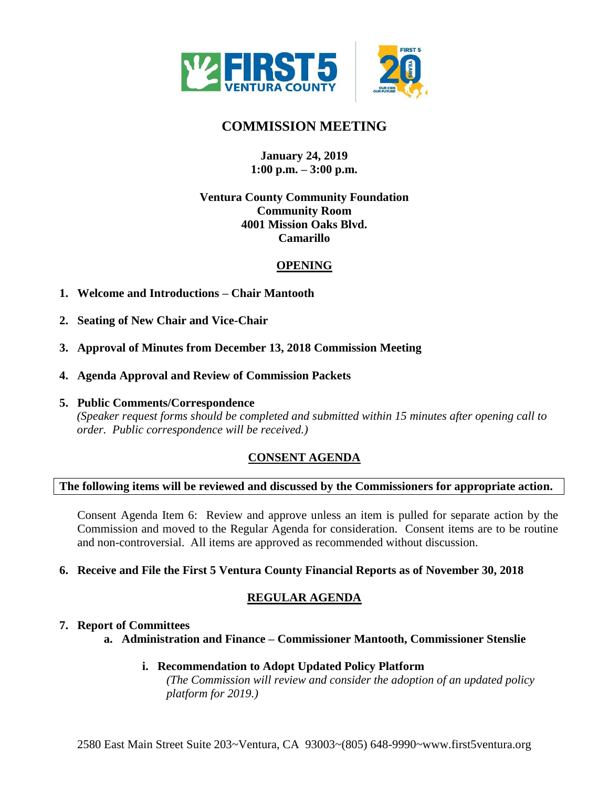

# **COMMISSION MEETING**

## **January 24, 2019 1:00 p.m. – 3:00 p.m.**

## **Ventura County Community Foundation Community Room 4001 Mission Oaks Blvd. Camarillo**

## **OPENING**

- **1. Welcome and Introductions – Chair Mantooth**
- **2. Seating of New Chair and Vice-Chair**
- **3. Approval of Minutes from December 13, 2018 Commission Meeting**
- **4. Agenda Approval and Review of Commission Packets**
- **5. Public Comments/Correspondence**

*(Speaker request forms should be completed and submitted within 15 minutes after opening call to order. Public correspondence will be received.)*

# **CONSENT AGENDA**

#### **The following items will be reviewed and discussed by the Commissioners for appropriate action.**

Consent Agenda Item 6: Review and approve unless an item is pulled for separate action by the Commission and moved to the Regular Agenda for consideration. Consent items are to be routine and non-controversial. All items are approved as recommended without discussion.

#### **6. Receive and File the First 5 Ventura County Financial Reports as of November 30, 2018**

# **REGULAR AGENDA**

#### **7. Report of Committees**

**a. Administration and Finance – Commissioner Mantooth, Commissioner Stenslie**

#### **i. Recommendation to Adopt Updated Policy Platform**

*(The Commission will review and consider the adoption of an updated policy platform for 2019.)*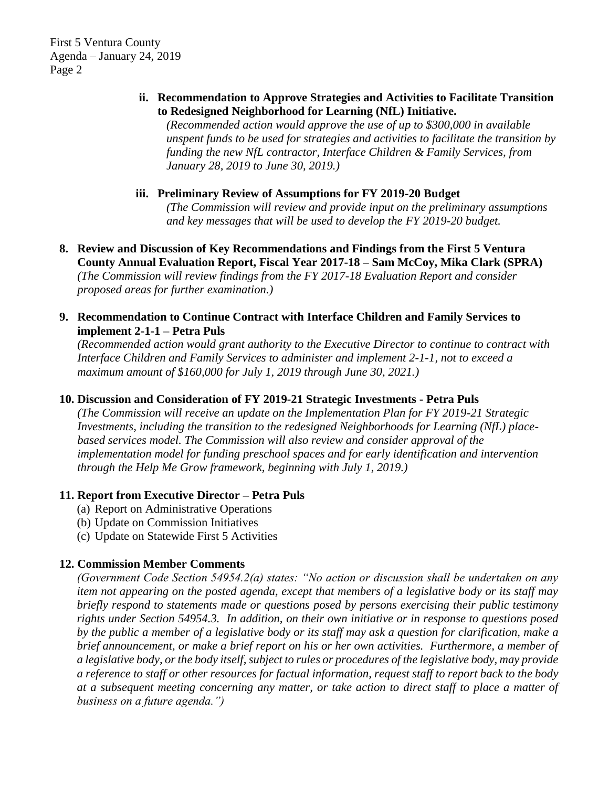First 5 Ventura County Agenda – January 24, 2019 Page 2

## **ii. Recommendation to Approve Strategies and Activities to Facilitate Transition to Redesigned Neighborhood for Learning (NfL) Initiative.**

*(Recommended action would approve the use of up to \$300,000 in available unspent funds to be used for strategies and activities to facilitate the transition by funding the new NfL contractor, Interface Children & Family Services, from January 28, 2019 to June 30, 2019.)*

# **iii. Preliminary Review of Assumptions for FY 2019-20 Budget**

*(The Commission will review and provide input on the preliminary assumptions and key messages that will be used to develop the FY 2019-20 budget.*

**8. Review and Discussion of Key Recommendations and Findings from the First 5 Ventura County Annual Evaluation Report, Fiscal Year 2017-18 – Sam McCoy, Mika Clark (SPRA)** *(The Commission will review findings from the FY 2017-18 Evaluation Report and consider proposed areas for further examination.)*

## **9. Recommendation to Continue Contract with Interface Children and Family Services to implement 2-1-1 – Petra Puls**

*(Recommended action would grant authority to the Executive Director to continue to contract with Interface Children and Family Services to administer and implement 2-1-1, not to exceed a maximum amount of \$160,000 for July 1, 2019 through June 30, 2021.)*

# **10. Discussion and Consideration of FY 2019-21 Strategic Investments - Petra Puls**

*(The Commission will receive an update on the Implementation Plan for FY 2019-21 Strategic Investments, including the transition to the redesigned Neighborhoods for Learning (NfL) placebased services model. The Commission will also review and consider approval of the implementation model for funding preschool spaces and for early identification and intervention through the Help Me Grow framework, beginning with July 1, 2019.)*

## **11. Report from Executive Director – Petra Puls**

- (a) Report on Administrative Operations
- (b) Update on Commission Initiatives
- (c) Update on Statewide First 5 Activities

# **12. Commission Member Comments**

*(Government Code Section 54954.2(a) states: "No action or discussion shall be undertaken on any item not appearing on the posted agenda, except that members of a legislative body or its staff may briefly respond to statements made or questions posed by persons exercising their public testimony rights under Section 54954.3. In addition, on their own initiative or in response to questions posed by the public a member of a legislative body or its staff may ask a question for clarification, make a brief announcement, or make a brief report on his or her own activities. Furthermore, a member of a legislative body, or the body itself, subject to rules or procedures of the legislative body, may provide a reference to staff or other resources for factual information, request staff to report back to the body at a subsequent meeting concerning any matter, or take action to direct staff to place a matter of business on a future agenda.")*